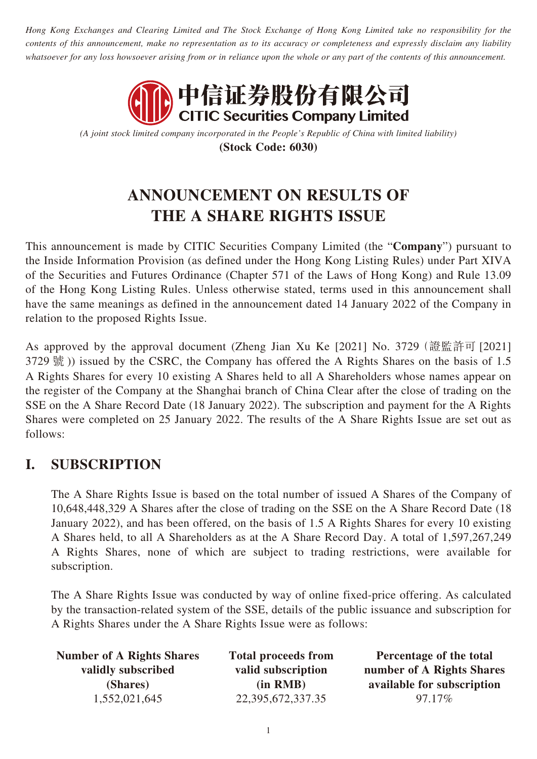*Hong Kong Exchanges and Clearing Limited and The Stock Exchange of Hong Kong Limited take no responsibility for the contents of this announcement, make no representation as to its accuracy or completeness and expressly disclaim any liability whatsoever for any loss howsoever arising from or in reliance upon the whole or any part of the contents of this announcement.*



*(A joint stock limited company incorporated in the People's Republic of China with limited liability)* **(Stock Code: 6030)**

# **ANNOUNCEMENT ON RESULTS OF THE A SHARE RIGHTS ISSUE**

This announcement is made by CITIC Securities Company Limited (the "**Company**") pursuant to the Inside Information Provision (as defined under the Hong Kong Listing Rules) under Part XIVA of the Securities and Futures Ordinance (Chapter 571 of the Laws of Hong Kong) and Rule 13.09 of the Hong Kong Listing Rules. Unless otherwise stated, terms used in this announcement shall have the same meanings as defined in the announcement dated 14 January 2022 of the Company in relation to the proposed Rights Issue.

As approved by the approval document (Zheng Jian Xu Ke [2021] No. 3729(證監許可 [2021] 3729 號 )) issued by the CSRC, the Company has offered the A Rights Shares on the basis of 1.5 A Rights Shares for every 10 existing A Shares held to all A Shareholders whose names appear on the register of the Company at the Shanghai branch of China Clear after the close of trading on the SSE on the A Share Record Date (18 January 2022). The subscription and payment for the A Rights Shares were completed on 25 January 2022. The results of the A Share Rights Issue are set out as follows:

## **I. SUBSCRIPTION**

The A Share Rights Issue is based on the total number of issued A Shares of the Company of 10,648,448,329 A Shares after the close of trading on the SSE on the A Share Record Date (18 January 2022), and has been offered, on the basis of 1.5 A Rights Shares for every 10 existing A Shares held, to all A Shareholders as at the A Share Record Day. A total of 1,597,267,249 A Rights Shares, none of which are subject to trading restrictions, were available for subscription.

The A Share Rights Issue was conducted by way of online fixed-price offering. As calculated by the transaction-related system of the SSE, details of the public issuance and subscription for A Rights Shares under the A Share Rights Issue were as follows:

| <b>Number of A Rights Shares</b> | <b>Total proceeds from</b> | Percentage of the total    |
|----------------------------------|----------------------------|----------------------------|
| validly subscribed               | valid subscription         | number of A Rights Shares  |
| (Shares)                         | (in RMB)                   | available for subscription |
| 1,552,021,645                    | 22,395,672,337.35          | 97.17%                     |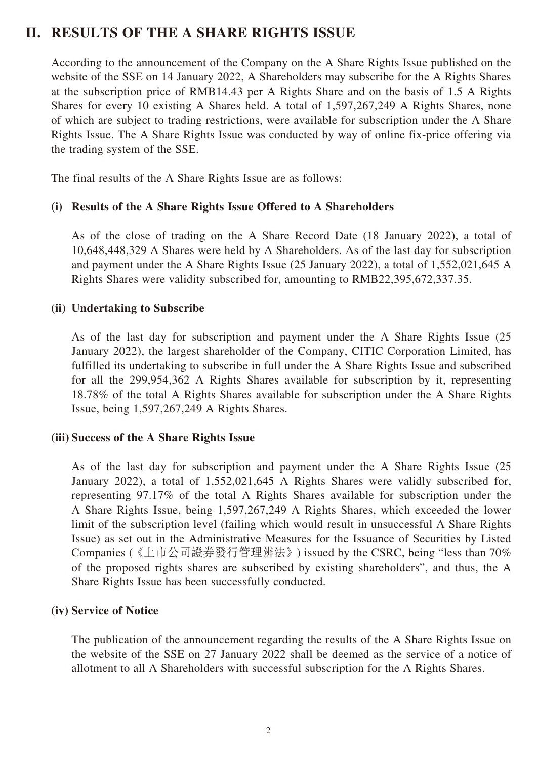### **II. RESULTS OF THE A SHARE RIGHTS ISSUE**

According to the announcement of the Company on the A Share Rights Issue published on the website of the SSE on 14 January 2022, A Shareholders may subscribe for the A Rights Shares at the subscription price of RMB14.43 per A Rights Share and on the basis of 1.5 A Rights Shares for every 10 existing A Shares held. A total of 1,597,267,249 A Rights Shares, none of which are subject to trading restrictions, were available for subscription under the A Share Rights Issue. The A Share Rights Issue was conducted by way of online fix-price offering via the trading system of the SSE.

The final results of the A Share Rights Issue are as follows:

### **(i) Results of the A Share Rights Issue Offered to A Shareholders**

As of the close of trading on the A Share Record Date (18 January 2022), a total of 10,648,448,329 A Shares were held by A Shareholders. As of the last day for subscription and payment under the A Share Rights Issue (25 January 2022), a total of 1,552,021,645 A Rights Shares were validity subscribed for, amounting to RMB22,395,672,337.35.

### **(ii) Undertaking to Subscribe**

As of the last day for subscription and payment under the A Share Rights Issue (25 January 2022), the largest shareholder of the Company, CITIC Corporation Limited, has fulfilled its undertaking to subscribe in full under the A Share Rights Issue and subscribed for all the 299,954,362 A Rights Shares available for subscription by it, representing 18.78% of the total A Rights Shares available for subscription under the A Share Rights Issue, being 1,597,267,249 A Rights Shares.

#### **(iii) Success of the A Share Rights Issue**

As of the last day for subscription and payment under the A Share Rights Issue (25 January 2022), a total of 1,552,021,645 A Rights Shares were validly subscribed for, representing 97.17% of the total A Rights Shares available for subscription under the A Share Rights Issue, being 1,597,267,249 A Rights Shares, which exceeded the lower limit of the subscription level (failing which would result in unsuccessful A Share Rights Issue) as set out in the Administrative Measures for the Issuance of Securities by Listed Companies (《上市公司證券發行管理辨法》) issued by the CSRC, being "less than 70% of the proposed rights shares are subscribed by existing shareholders", and thus, the A Share Rights Issue has been successfully conducted.

#### **(iv) Service of Notice**

The publication of the announcement regarding the results of the A Share Rights Issue on the website of the SSE on 27 January 2022 shall be deemed as the service of a notice of allotment to all A Shareholders with successful subscription for the A Rights Shares.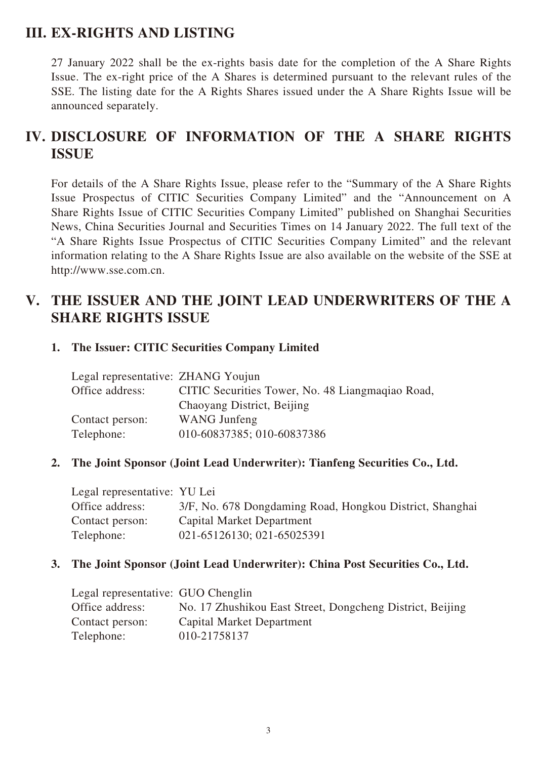### **III. EX-RIGHTS AND LISTING**

27 January 2022 shall be the ex-rights basis date for the completion of the A Share Rights Issue. The ex-right price of the A Shares is determined pursuant to the relevant rules of the SSE. The listing date for the A Rights Shares issued under the A Share Rights Issue will be announced separately.

# **IV. DISCLOSURE OF INFORMATION OF THE A SHARE RIGHTS ISSUE**

For details of the A Share Rights Issue, please refer to the "Summary of the A Share Rights Issue Prospectus of CITIC Securities Company Limited" and the "Announcement on A Share Rights Issue of CITIC Securities Company Limited" published on Shanghai Securities News, China Securities Journal and Securities Times on 14 January 2022. The full text of the "A Share Rights Issue Prospectus of CITIC Securities Company Limited" and the relevant information relating to the A Share Rights Issue are also available on the website of the SSE at http://www.sse.com.cn.

### **V. THE ISSUER AND THE JOINT LEAD UNDERWRITERS OF THE A SHARE RIGHTS ISSUE**

### **1. The Issuer: CITIC Securities Company Limited**

| Legal representative: ZHANG Youjun |                                                  |
|------------------------------------|--------------------------------------------------|
| Office address:                    | CITIC Securities Tower, No. 48 Liangmaqiao Road, |
|                                    | Chaoyang District, Beijing                       |
| Contact person:                    | <b>WANG</b> Junfeng                              |
| Telephone:                         | 010-60837385; 010-60837386                       |

### **2. The Joint Sponsor (Joint Lead Underwriter): Tianfeng Securities Co., Ltd.**

Legal representative: YU Lei Office address: 3/F, No. 678 Dongdaming Road, Hongkou District, Shanghai Contact person: Capital Market Department Telephone: 021-65126130; 021-65025391

### **3. The Joint Sponsor (Joint Lead Underwriter): China Post Securities Co., Ltd.**

| Legal representative: GUO Chenglin |                                                           |
|------------------------------------|-----------------------------------------------------------|
| Office address:                    | No. 17 Zhushikou East Street, Dongcheng District, Beijing |
| Contact person:                    | Capital Market Department                                 |
| Telephone:                         | 010-21758137                                              |